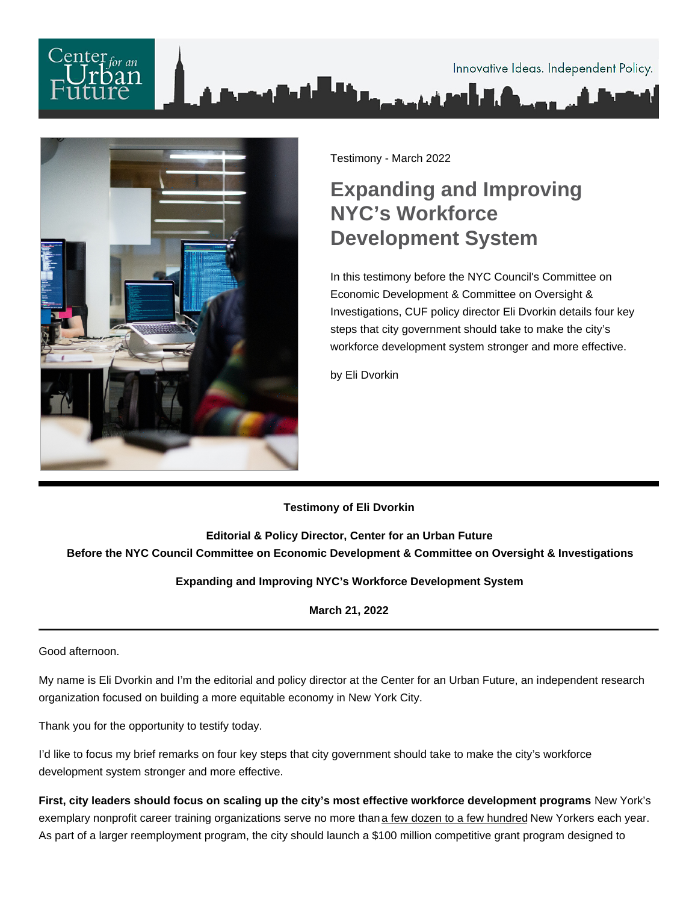Testimony - March 2022

## Expanding and Improving NYC's Workforce Development System

In this testimony before the NYC Council's Committee on Economic Development & Committee on Oversight & Investigations, CUF policy director Eli Dvorkin details four key steps that city government should take to make the city's workforce development system stronger and more effective.

by Eli Dvorkin

## Testimony of Eli Dvorkin

Editorial & Policy Director, Center for an Urban Future Before the NYC Council Committee on Economic Development & Committee on Oversight & Investigations

Expanding and Improving NYC's Workforce Development System

March 21, 2022

Good afternoon.

My name is Eli Dvorkin and I'm the editorial and policy director at the Center for an Urban Future, an independent research organization focused on building a more equitable economy in New York City.

Thank you for the opportunity to testify today.

I'd like to focus my brief remarks on four key steps that city government should take to make the city's workforce development system stronger and more effective.

First, city leaders should focus on scaling up the city's most effective workforce development programs . New York's exemplary nonprofit career training organizations serve no more than [a few dozen to a few hundred](https://nycfuture.org/research/plugging-in) New Yorkers each year. As part of a larger reemployment program, the city should launch a \$100 million competitive grant program designed to